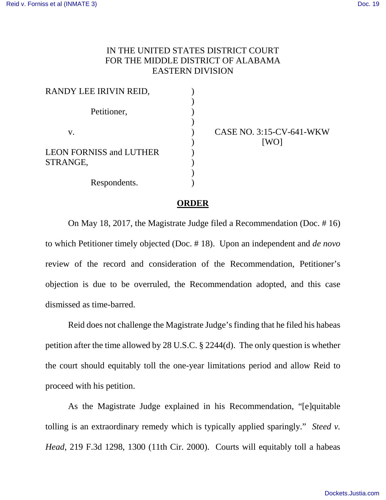## IN THE UNITED STATES DISTRICT COURT FOR THE MIDDLE DISTRICT OF ALABAMA EASTERN DIVISION

| RANDY LEE IRIVIN REID,         |  |
|--------------------------------|--|
|                                |  |
| Petitioner,                    |  |
|                                |  |
| V.                             |  |
|                                |  |
| <b>LEON FORNISS and LUTHER</b> |  |
| STRANGE,                       |  |
|                                |  |
| Respondents.                   |  |

CASE NO. 3:15-CV-641-WKW [WO]

## **ORDER**

On May 18, 2017, the Magistrate Judge filed a Recommendation (Doc. # 16) to which Petitioner timely objected (Doc. # 18). Upon an independent and *de novo*  review of the record and consideration of the Recommendation, Petitioner's objection is due to be overruled, the Recommendation adopted, and this case dismissed as time-barred.

Reid does not challenge the Magistrate Judge's finding that he filed his habeas petition after the time allowed by 28 U.S.C. § 2244(d). The only question is whether the court should equitably toll the one-year limitations period and allow Reid to proceed with his petition.

As the Magistrate Judge explained in his Recommendation, "[e]quitable tolling is an extraordinary remedy which is typically applied sparingly." *Steed v. Head*, 219 F.3d 1298, 1300 (11th Cir. 2000). Courts will equitably toll a habeas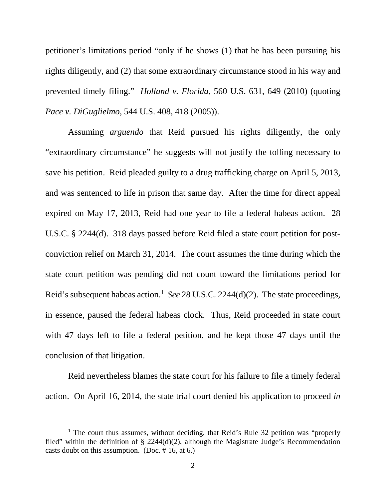petitioner's limitations period "only if he shows (1) that he has been pursuing his rights diligently, and (2) that some extraordinary circumstance stood in his way and prevented timely filing." *Holland v. Florida*, 560 U.S. 631, 649 (2010) (quoting *Pace v. DiGuglielmo*, 544 U.S. 408, 418 (2005)).

Assuming *arguendo* that Reid pursued his rights diligently, the only "extraordinary circumstance" he suggests will not justify the tolling necessary to save his petition. Reid pleaded guilty to a drug trafficking charge on April 5, 2013, and was sentenced to life in prison that same day. After the time for direct appeal expired on May 17, 2013, Reid had one year to file a federal habeas action. 28 U.S.C. § 2244(d). 318 days passed before Reid filed a state court petition for postconviction relief on March 31, 2014. The court assumes the time during which the state court petition was pending did not count toward the limitations period for Reid's subsequent habeas action. [1](#page-1-0) *See* 28 U.S.C. 2244(d)(2). The state proceedings, in essence, paused the federal habeas clock. Thus, Reid proceeded in state court with 47 days left to file a federal petition, and he kept those 47 days until the conclusion of that litigation.

Reid nevertheless blames the state court for his failure to file a timely federal action. On April 16, 2014, the state trial court denied his application to proceed *in* 

l

<span id="page-1-0"></span> $<sup>1</sup>$  The court thus assumes, without deciding, that Reid's Rule 32 petition was "properly</sup> filed" within the definition of  $\S$  2244(d)(2), although the Magistrate Judge's Recommendation casts doubt on this assumption. (Doc. # 16, at 6.)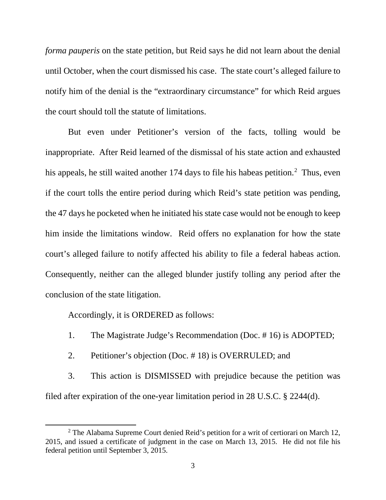*forma pauperis* on the state petition, but Reid says he did not learn about the denial until October, when the court dismissed his case. The state court's alleged failure to notify him of the denial is the "extraordinary circumstance" for which Reid argues the court should toll the statute of limitations.

But even under Petitioner's version of the facts, tolling would be inappropriate. After Reid learned of the dismissal of his state action and exhausted his appeals, he still waited another 174 days to file his habeas petition.<sup>[2](#page-2-0)</sup> Thus, even if the court tolls the entire period during which Reid's state petition was pending, the 47 days he pocketed when he initiated his state case would not be enough to keep him inside the limitations window. Reid offers no explanation for how the state court's alleged failure to notify affected his ability to file a federal habeas action. Consequently, neither can the alleged blunder justify tolling any period after the conclusion of the state litigation.

Accordingly, it is ORDERED as follows:

l

- 1. The Magistrate Judge's Recommendation (Doc. # 16) is ADOPTED;
- 2. Petitioner's objection (Doc. # 18) is OVERRULED; and

3. This action is DISMISSED with prejudice because the petition was filed after expiration of the one-year limitation period in 28 U.S.C. § 2244(d).

<span id="page-2-0"></span> $2$  The Alabama Supreme Court denied Reid's petition for a writ of certiorari on March 12, 2015, and issued a certificate of judgment in the case on March 13, 2015. He did not file his federal petition until September 3, 2015.